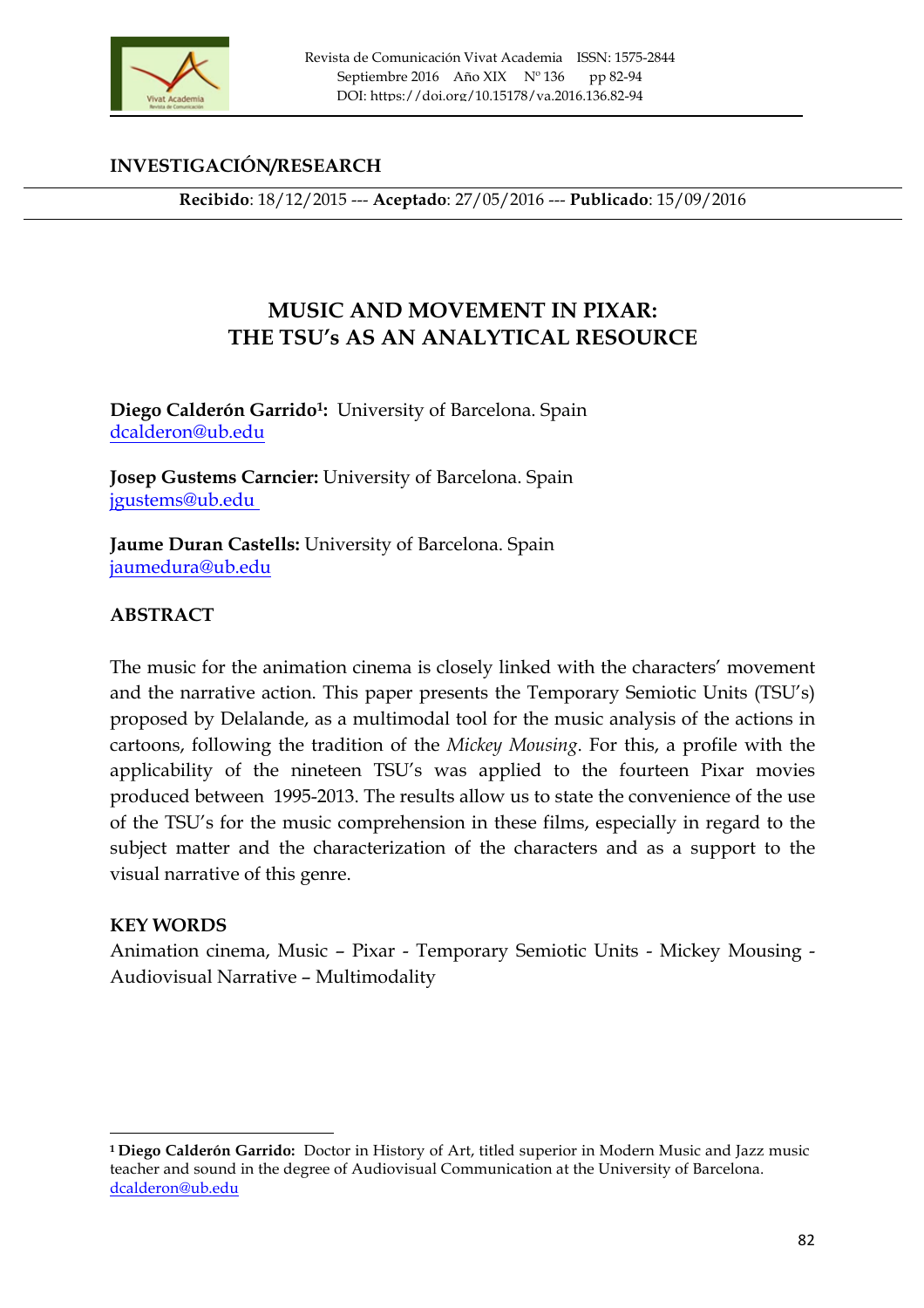

# **INVESTIGACIÓN/RESEARCH**

**Recibido**: 18/12/2015 --- **Aceptado**: 27/05/2016 --- **Publicado**: 15/09/2016

**Recibido**: 18/12/2015 --- **Aceptado**: 27/05/2016 --- **Publicado**: 15/09/2016

# **MUSIC AND MOVEMENT IN PIXAR: THE TSU's AS AN ANALYTICAL RESOURCE**

**Diego Calderón Garrido1:** University of Barcelona. Spain dcalderon@ub.edu

**Josep Gustems Carncier:** University of Barcelona. Spain jgustems@ub.edu

**Jaume Duran Castells:** University of Barcelona. Spain jaumedura@ub.edu

## **ABSTRACT**

The music for the animation cinema is closely linked with the characters' movement and the narrative action. This paper presents the Temporary Semiotic Units (TSU's) proposed by Delalande, as a multimodal tool for the music analysis of the actions in cartoons, following the tradition of the *Mickey Mousing*. For this, a profile with the applicability of the nineteen TSU's was applied to the fourteen Pixar movies produced between 1995-2013. The results allow us to state the convenience of the use of the TSU's for the music comprehension in these films, especially in regard to the subject matter and the characterization of the characters and as a support to the visual narrative of this genre.

### **KEY WORDS**

<u> 1989 - Johann Stein, fransk politik (d. 1989)</u>

Animation cinema, Music – Pixar - Temporary Semiotic Units - Mickey Mousing - Audiovisual Narrative – Multimodality

**<sup>1</sup> Diego Calderón Garrido:** Doctor in History of Art, titled superior in Modern Music and Jazz music teacher and sound in the degree of Audiovisual Communication at the University of Barcelona. dcalderon@ub.edu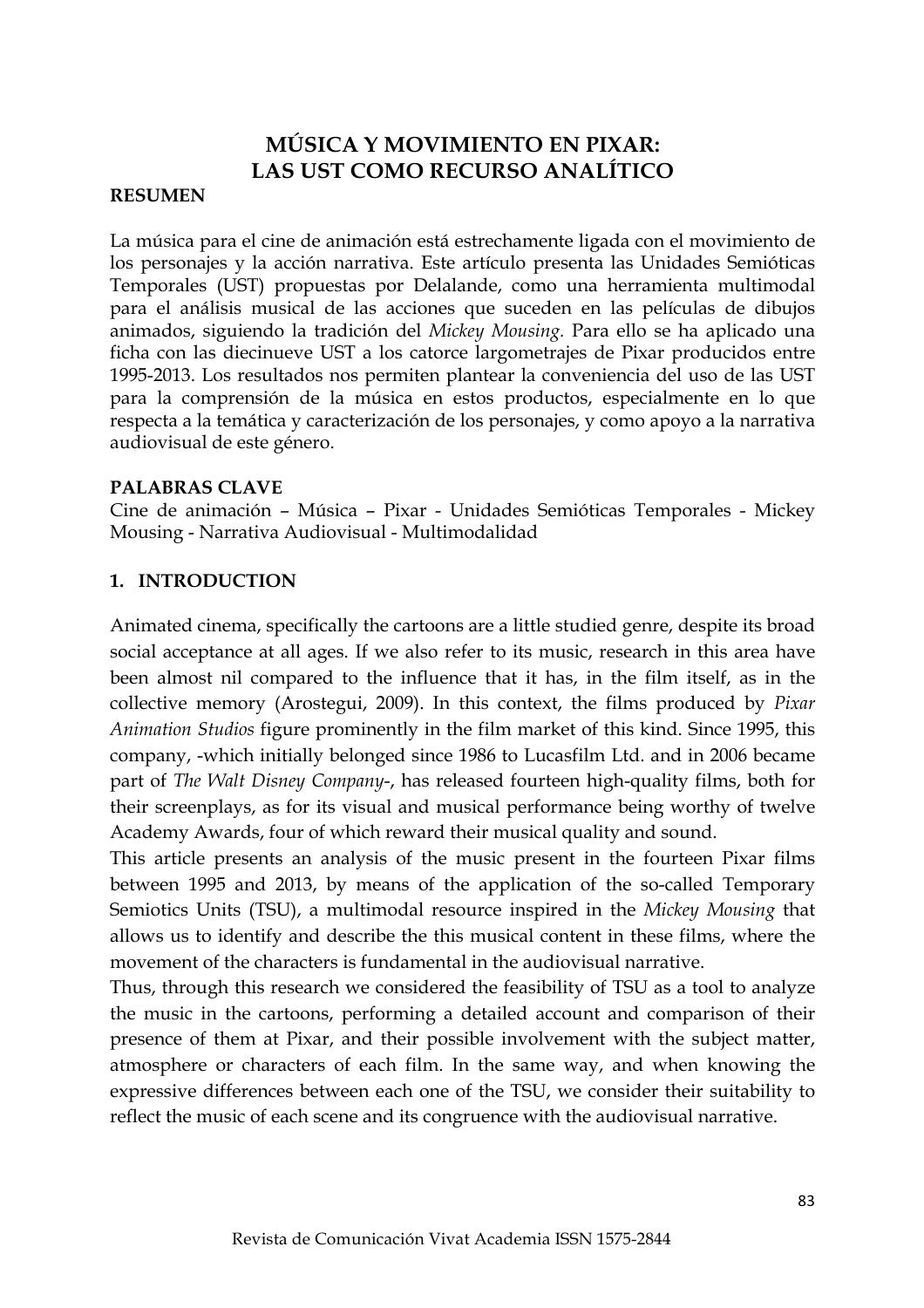# **MÚSICA Y MOVIMIENTO EN PIXAR: LAS UST COMO RECURSO ANALÍTICO**

#### **RESUMEN**

La música para el cine de animación está estrechamente ligada con el movimiento de los personajes y la acción narrativa. Este artículo presenta las Unidades Semióticas Temporales (UST) propuestas por Delalande, como una herramienta multimodal para el análisis musical de las acciones que suceden en las películas de dibujos animados, siguiendo la tradición del *Mickey Mousing.* Para ello se ha aplicado una ficha con las diecinueve UST a los catorce largometrajes de Pixar producidos entre 1995-2013. Los resultados nos permiten plantear la conveniencia del uso de las UST para la comprensión de la música en estos productos, especialmente en lo que respecta a la temática y caracterización de los personajes, y como apoyo a la narrativa audiovisual de este género.

#### **PALABRAS CLAVE**

Cine de animación – Música – Pixar - Unidades Semióticas Temporales - Mickey Mousing - Narrativa Audiovisual - Multimodalidad

## **1. INTRODUCTION**

Animated cinema, specifically the cartoons are a little studied genre, despite its broad social acceptance at all ages. If we also refer to its music, research in this area have been almost nil compared to the influence that it has, in the film itself, as in the collective memory (Arostegui, 2009). In this context, the films produced by *Pixar Animation Studios* figure prominently in the film market of this kind. Since 1995, this company, -which initially belonged since 1986 to Lucasfilm Ltd. and in 2006 became part of *The Walt Disney Company*-, has released fourteen high-quality films, both for their screenplays, as for its visual and musical performance being worthy of twelve Academy Awards, four of which reward their musical quality and sound.

This article presents an analysis of the music present in the fourteen Pixar films between 1995 and 2013, by means of the application of the so-called Temporary Semiotics Units (TSU), a multimodal resource inspired in the *Mickey Mousing* that allows us to identify and describe the this musical content in these films, where the movement of the characters is fundamental in the audiovisual narrative.

Thus, through this research we considered the feasibility of TSU as a tool to analyze the music in the cartoons, performing a detailed account and comparison of their presence of them at Pixar, and their possible involvement with the subject matter, atmosphere or characters of each film. In the same way, and when knowing the expressive differences between each one of the TSU, we consider their suitability to reflect the music of each scene and its congruence with the audiovisual narrative.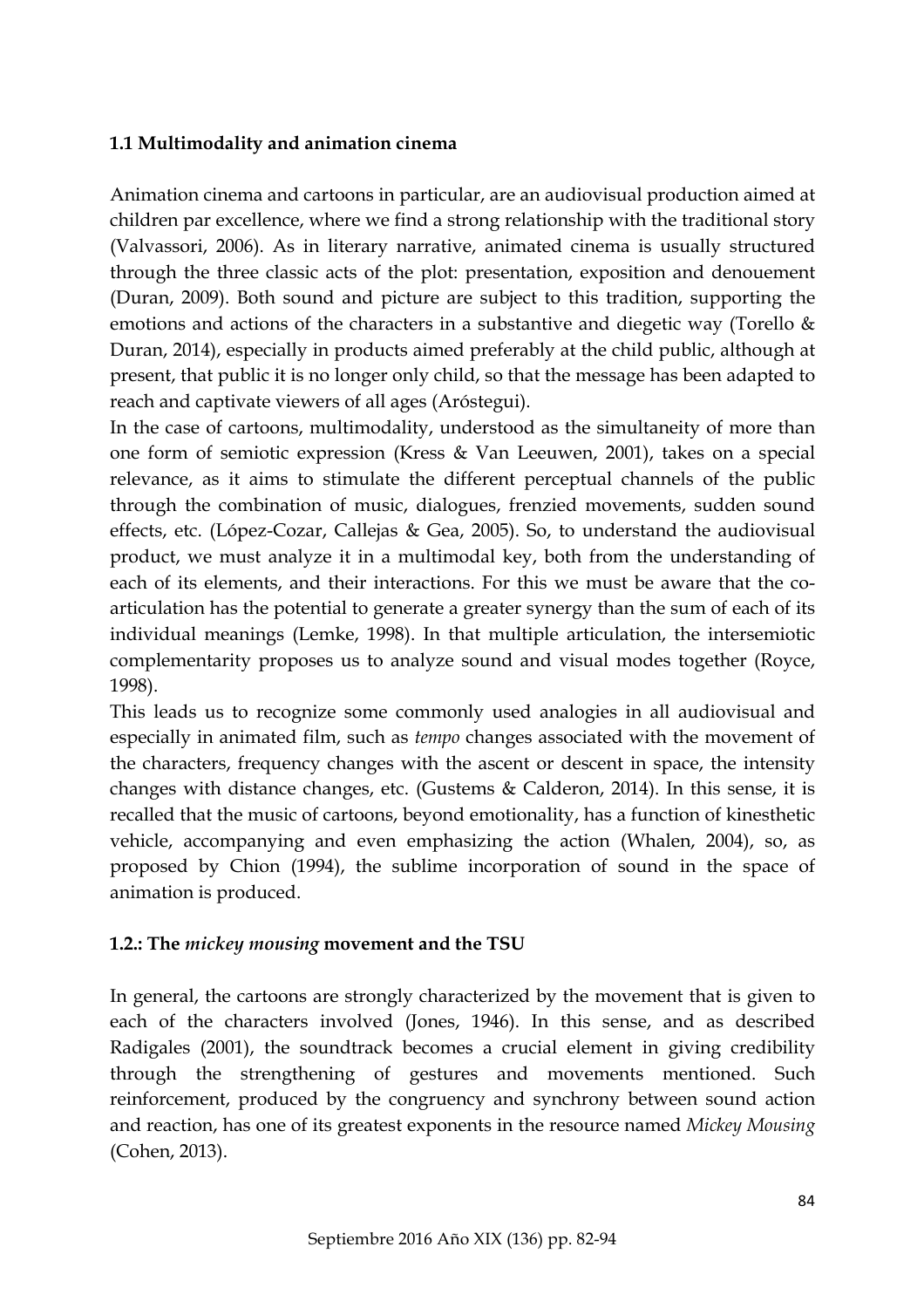## **1.1 Multimodality and animation cinema**

Animation cinema and cartoons in particular, are an audiovisual production aimed at children par excellence, where we find a strong relationship with the traditional story (Valvassori, 2006). As in literary narrative, animated cinema is usually structured through the three classic acts of the plot: presentation, exposition and denouement (Duran, 2009). Both sound and picture are subject to this tradition, supporting the emotions and actions of the characters in a substantive and diegetic way (Torello & Duran, 2014), especially in products aimed preferably at the child public, although at present, that public it is no longer only child, so that the message has been adapted to reach and captivate viewers of all ages (Aróstegui).

In the case of cartoons, multimodality, understood as the simultaneity of more than one form of semiotic expression (Kress & Van Leeuwen, 2001), takes on a special relevance, as it aims to stimulate the different perceptual channels of the public through the combination of music, dialogues, frenzied movements, sudden sound effects, etc. (López-Cozar, Callejas & Gea, 2005). So, to understand the audiovisual product, we must analyze it in a multimodal key, both from the understanding of each of its elements, and their interactions. For this we must be aware that the coarticulation has the potential to generate a greater synergy than the sum of each of its individual meanings (Lemke, 1998). In that multiple articulation, the intersemiotic complementarity proposes us to analyze sound and visual modes together (Royce, 1998).

This leads us to recognize some commonly used analogies in all audiovisual and especially in animated film, such as *tempo* changes associated with the movement of the characters, frequency changes with the ascent or descent in space, the intensity changes with distance changes, etc. (Gustems & Calderon, 2014). In this sense, it is recalled that the music of cartoons, beyond emotionality, has a function of kinesthetic vehicle, accompanying and even emphasizing the action (Whalen, 2004), so, as proposed by Chion (1994), the sublime incorporation of sound in the space of animation is produced.

### **1.2.: The** *mickey mousing* **movement and the TSU**

In general, the cartoons are strongly characterized by the movement that is given to each of the characters involved (Jones, 1946). In this sense, and as described Radigales (2001), the soundtrack becomes a crucial element in giving credibility through the strengthening of gestures and movements mentioned. Such reinforcement, produced by the congruency and synchrony between sound action and reaction, has one of its greatest exponents in the resource named *Mickey Mousing* (Cohen, 2013).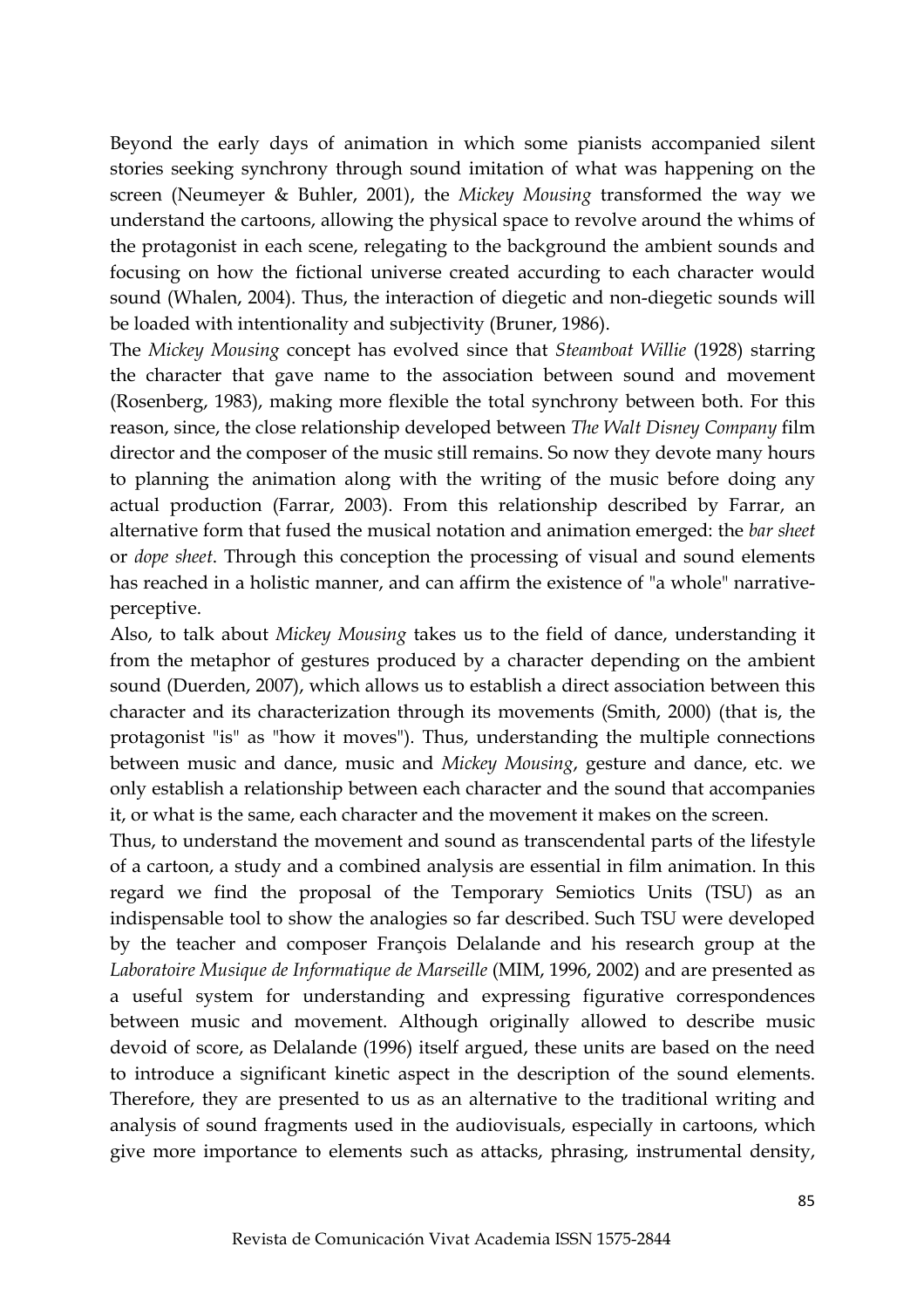Beyond the early days of animation in which some pianists accompanied silent stories seeking synchrony through sound imitation of what was happening on the screen (Neumeyer & Buhler, 2001), the *Mickey Mousing* transformed the way we understand the cartoons, allowing the physical space to revolve around the whims of the protagonist in each scene, relegating to the background the ambient sounds and focusing on how the fictional universe created accurding to each character would sound (Whalen, 2004). Thus, the interaction of diegetic and non-diegetic sounds will be loaded with intentionality and subjectivity (Bruner, 1986).

The *Mickey Mousing* concept has evolved since that *Steamboat Willie* (1928) starring the character that gave name to the association between sound and movement (Rosenberg, 1983), making more flexible the total synchrony between both. For this reason, since, the close relationship developed between *The Walt Disney Company* film director and the composer of the music still remains. So now they devote many hours to planning the animation along with the writing of the music before doing any actual production (Farrar, 2003). From this relationship described by Farrar, an alternative form that fused the musical notation and animation emerged: the *bar sheet* or *dope sheet*. Through this conception the processing of visual and sound elements has reached in a holistic manner, and can affirm the existence of "a whole" narrativeperceptive.

Also, to talk about *Mickey Mousing* takes us to the field of dance, understanding it from the metaphor of gestures produced by a character depending on the ambient sound (Duerden, 2007), which allows us to establish a direct association between this character and its characterization through its movements (Smith, 2000) (that is, the protagonist "is" as "how it moves"). Thus, understanding the multiple connections between music and dance, music and *Mickey Mousing*, gesture and dance, etc. we only establish a relationship between each character and the sound that accompanies it, or what is the same, each character and the movement it makes on the screen.

Thus, to understand the movement and sound as transcendental parts of the lifestyle of a cartoon, a study and a combined analysis are essential in film animation. In this regard we find the proposal of the Temporary Semiotics Units (TSU) as an indispensable tool to show the analogies so far described. Such TSU were developed by the teacher and composer François Delalande and his research group at the *Laboratoire Musique de Informatique de Marseille* (MIM, 1996, 2002) and are presented as a useful system for understanding and expressing figurative correspondences between music and movement. Although originally allowed to describe music devoid of score, as Delalande (1996) itself argued, these units are based on the need to introduce a significant kinetic aspect in the description of the sound elements. Therefore, they are presented to us as an alternative to the traditional writing and analysis of sound fragments used in the audiovisuals, especially in cartoons, which give more importance to elements such as attacks, phrasing, instrumental density,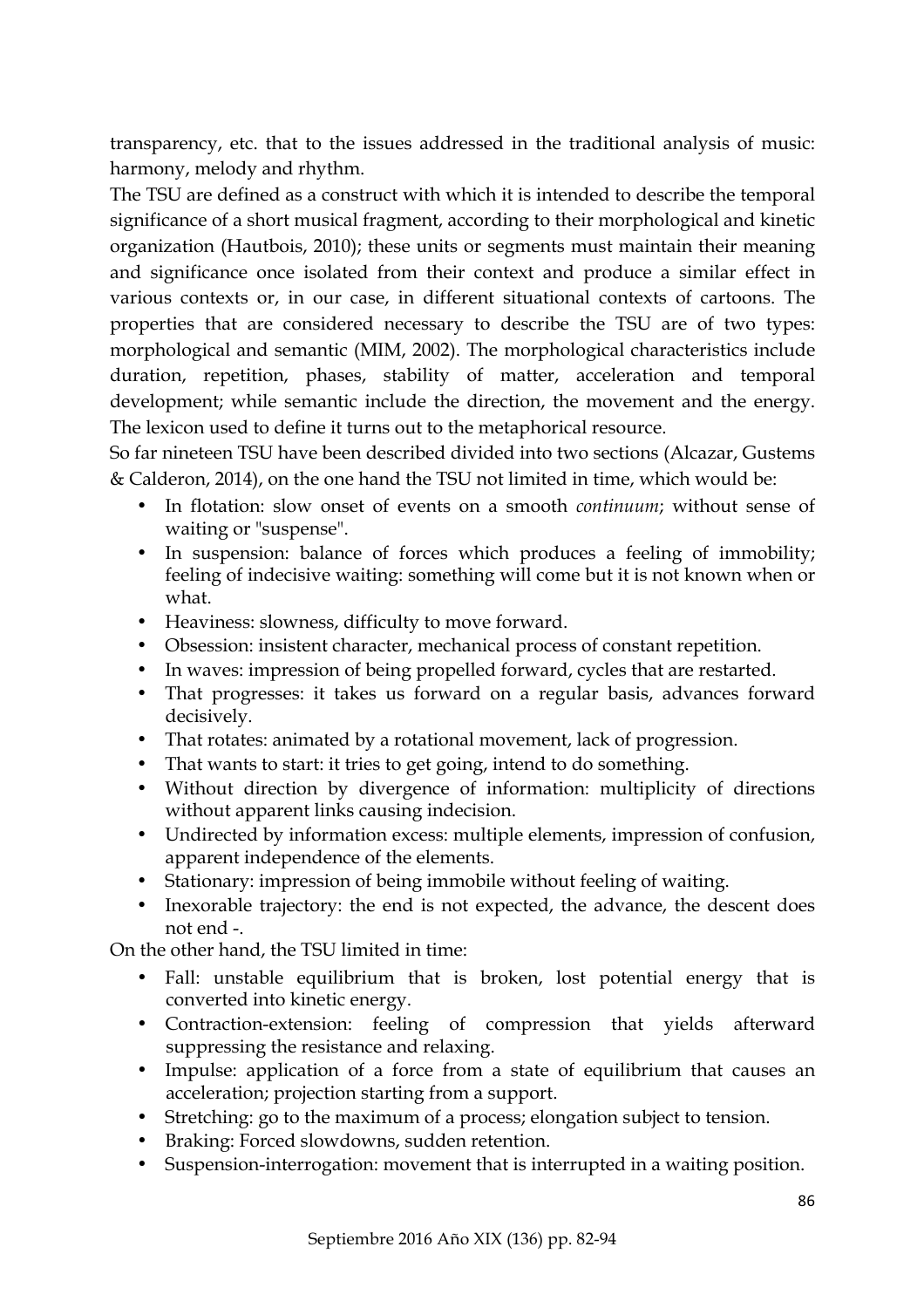transparency, etc. that to the issues addressed in the traditional analysis of music: harmony, melody and rhythm.

The TSU are defined as a construct with which it is intended to describe the temporal significance of a short musical fragment, according to their morphological and kinetic organization (Hautbois, 2010); these units or segments must maintain their meaning and significance once isolated from their context and produce a similar effect in various contexts or, in our case, in different situational contexts of cartoons. The properties that are considered necessary to describe the TSU are of two types: morphological and semantic (MIM, 2002). The morphological characteristics include duration, repetition, phases, stability of matter, acceleration and temporal development; while semantic include the direction, the movement and the energy. The lexicon used to define it turns out to the metaphorical resource.

So far nineteen TSU have been described divided into two sections (Alcazar, Gustems & Calderon, 2014), on the one hand the TSU not limited in time, which would be:

- In flotation: slow onset of events on a smooth *continuum*; without sense of waiting or "suspense".
- In suspension: balance of forces which produces a feeling of immobility; feeling of indecisive waiting: something will come but it is not known when or what.
- Heaviness: slowness, difficulty to move forward.
- Obsession: insistent character, mechanical process of constant repetition.
- In waves: impression of being propelled forward, cycles that are restarted.
- That progresses: it takes us forward on a regular basis, advances forward decisively.
- That rotates: animated by a rotational movement, lack of progression.
- That wants to start: it tries to get going, intend to do something.
- Without direction by divergence of information: multiplicity of directions without apparent links causing indecision.
- Undirected by information excess: multiple elements, impression of confusion, apparent independence of the elements.
- Stationary: impression of being immobile without feeling of waiting.
- Inexorable trajectory: the end is not expected, the advance, the descent does not end -.

On the other hand, the TSU limited in time:

- Fall: unstable equilibrium that is broken, lost potential energy that is converted into kinetic energy.
- Contraction-extension: feeling of compression that yields afterward suppressing the resistance and relaxing.
- Impulse: application of a force from a state of equilibrium that causes an acceleration; projection starting from a support.
- Stretching: go to the maximum of a process; elongation subject to tension.
- Braking: Forced slowdowns, sudden retention.
- Suspension-interrogation: movement that is interrupted in a waiting position.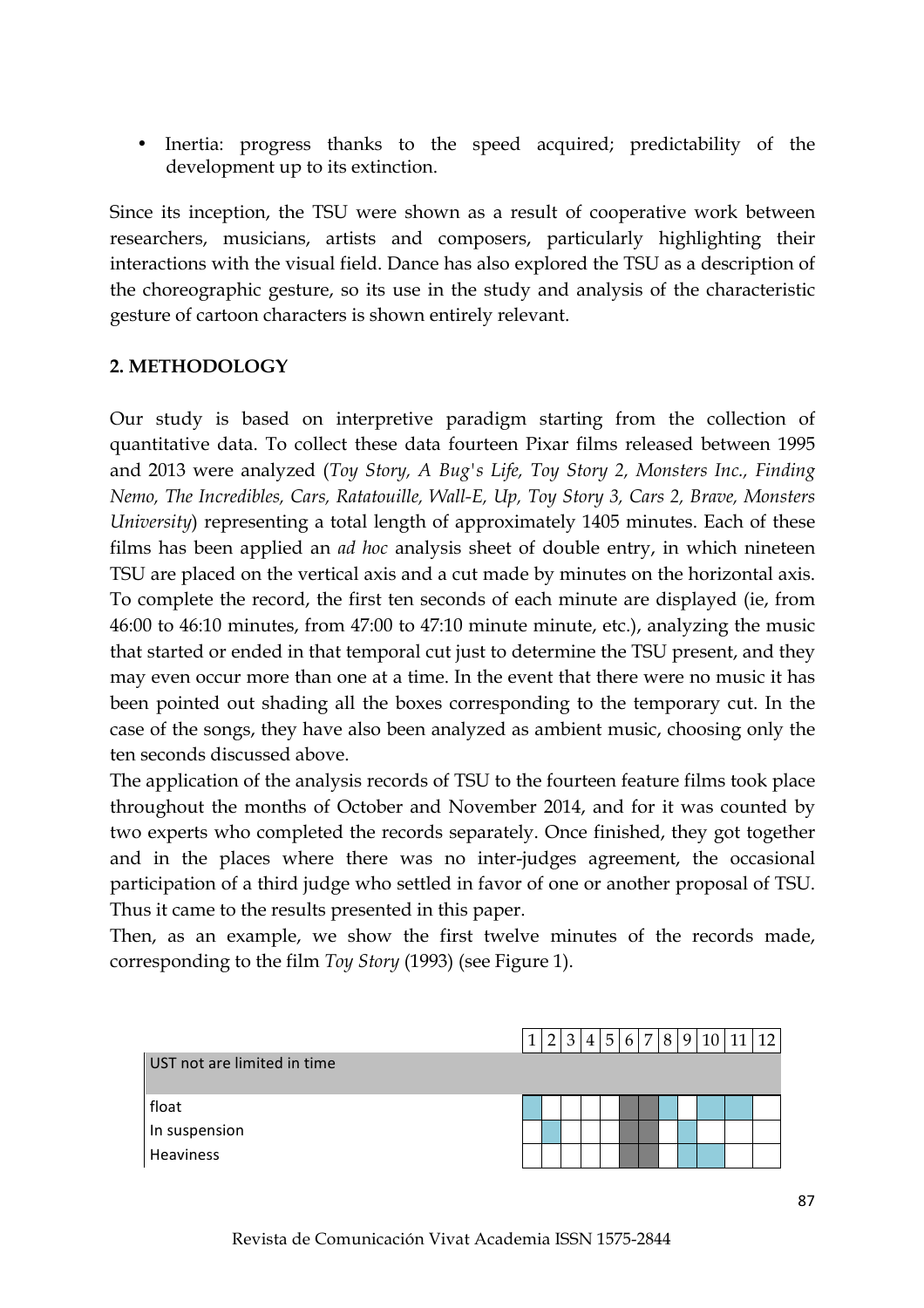• Inertia: progress thanks to the speed acquired; predictability of the development up to its extinction.

Since its inception, the TSU were shown as a result of cooperative work between researchers, musicians, artists and composers, particularly highlighting their interactions with the visual field. Dance has also explored the TSU as a description of the choreographic gesture, so its use in the study and analysis of the characteristic gesture of cartoon characters is shown entirely relevant.

# **2. METHODOLOGY**

Our study is based on interpretive paradigm starting from the collection of quantitative data. To collect these data fourteen Pixar films released between 1995 and 2013 were analyzed (*Toy Story, A Bug's Life, Toy Story 2, Monsters Inc., Finding Nemo, The Incredibles, Cars, Ratatouille, Wall-E, Up, Toy Story 3, Cars 2, Brave, Monsters University*) representing a total length of approximately 1405 minutes. Each of these films has been applied an *ad hoc* analysis sheet of double entry, in which nineteen TSU are placed on the vertical axis and a cut made by minutes on the horizontal axis. To complete the record, the first ten seconds of each minute are displayed (ie, from 46:00 to 46:10 minutes, from 47:00 to 47:10 minute minute, etc.), analyzing the music that started or ended in that temporal cut just to determine the TSU present, and they may even occur more than one at a time. In the event that there were no music it has been pointed out shading all the boxes corresponding to the temporary cut. In the case of the songs, they have also been analyzed as ambient music, choosing only the ten seconds discussed above.

The application of the analysis records of TSU to the fourteen feature films took place throughout the months of October and November 2014, and for it was counted by two experts who completed the records separately. Once finished, they got together and in the places where there was no inter-judges agreement, the occasional participation of a third judge who settled in favor of one or another proposal of TSU. Thus it came to the results presented in this paper.

Then, as an example, we show the first twelve minutes of the records made, corresponding to the film *Toy Story* (1993) (see Figure 1).

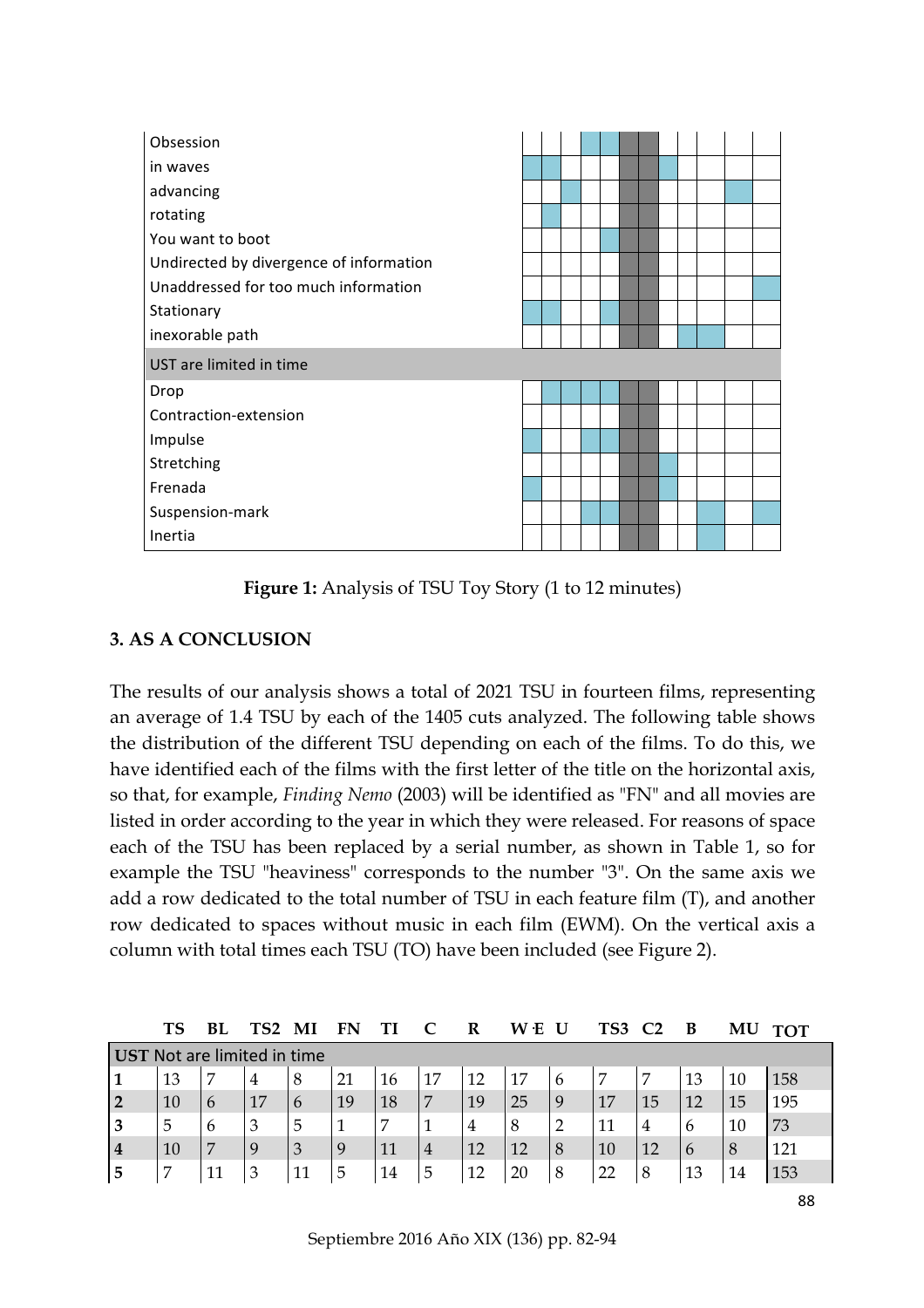| Obsession                               |  |  |  |  |  |  |
|-----------------------------------------|--|--|--|--|--|--|
| in waves                                |  |  |  |  |  |  |
| advancing                               |  |  |  |  |  |  |
| rotating                                |  |  |  |  |  |  |
| You want to boot                        |  |  |  |  |  |  |
| Undirected by divergence of information |  |  |  |  |  |  |
| Unaddressed for too much information    |  |  |  |  |  |  |
| Stationary                              |  |  |  |  |  |  |
| inexorable path                         |  |  |  |  |  |  |
| UST are limited in time                 |  |  |  |  |  |  |
| Drop                                    |  |  |  |  |  |  |
| Contraction-extension                   |  |  |  |  |  |  |
| Impulse                                 |  |  |  |  |  |  |
| Stretching                              |  |  |  |  |  |  |
| Frenada                                 |  |  |  |  |  |  |
| Suspension-mark                         |  |  |  |  |  |  |
| Inertia                                 |  |  |  |  |  |  |

**Figure 1:** Analysis of TSU Toy Story (1 to 12 minutes)

# **3. AS A CONCLUSION**

The results of our analysis shows a total of 2021 TSU in fourteen films, representing an average of 1.4 TSU by each of the 1405 cuts analyzed. The following table shows the distribution of the different TSU depending on each of the films. To do this, we have identified each of the films with the first letter of the title on the horizontal axis, so that, for example, *Finding Nemo* (2003) will be identified as "FN" and all movies are listed in order according to the year in which they were released. For reasons of space each of the TSU has been replaced by a serial number, as shown in Table 1, so for example the TSU "heaviness" corresponds to the number "3". On the same axis we add a row dedicated to the total number of TSU in each feature film (T), and another row dedicated to spaces without music in each film (EWM). On the vertical axis a column with total times each TSU (TO) have been included (see Figure 2).

|                             | <b>TS</b> | Bl | TS2 |               | FN |    |   |                | ۰E<br>W |                | TS3 |    | В  | M  | <b>TOT</b> |
|-----------------------------|-----------|----|-----|---------------|----|----|---|----------------|---------|----------------|-----|----|----|----|------------|
| UST Not are limited in time |           |    |     |               |    |    |   |                |         |                |     |    |    |    |            |
|                             | 13        | 7  | 4   | 8             | 21 | 16 |   | 12             | 17      | 6              |     | 7  | 13 | 10 | 158        |
| $\overline{2}$              | 10        | 6  | 17  | $\mathfrak b$ | 19 | 18 |   | 19             | 25      | 9              | 17  | 15 | 12 | 15 | 195        |
| 3                           | 5         | 6  | 3   | 5             |    | 7  |   | $\overline{4}$ | 8       | $\overline{2}$ | 11  | 4  | 6  | 10 | 73         |
| $\overline{4}$              | 10        | 7  |     | 3             | 9  | 11 | 4 | 12             | 12      | 8              | 10  | 12 | 6  | 8  | 121        |
| 5                           | 7         | 11 | 3   | 11            | 5  | 14 | 5 | 12             | 20      | 8              | 22  | 8  | 13 | 14 | 153        |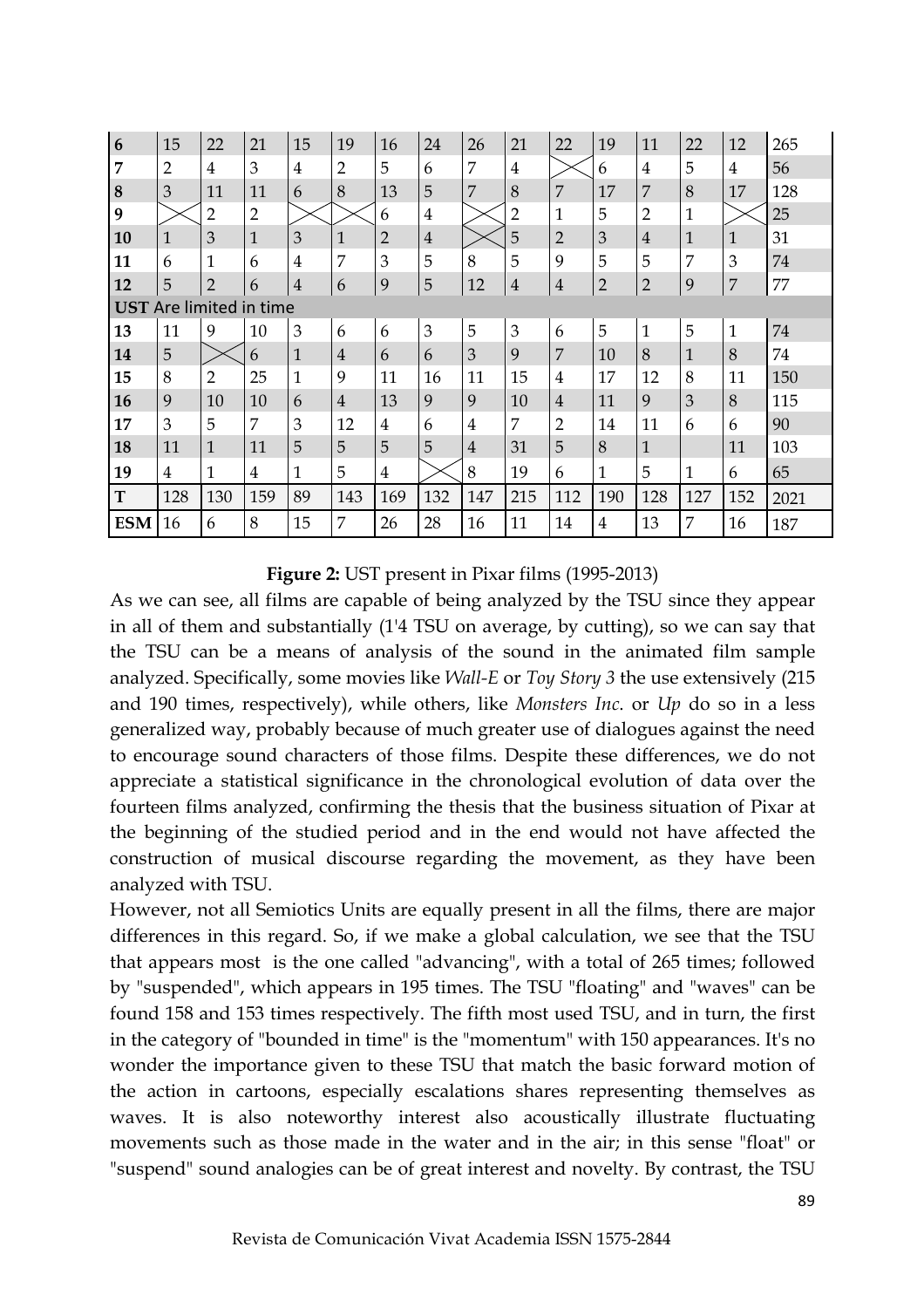| $6\phantom{1}6$                | 15             | 22             | 21             | 15             | 19             | 16             | 24             | 26             | 21             | 22             | 19             | 11             | 22           | 12             | 265  |
|--------------------------------|----------------|----------------|----------------|----------------|----------------|----------------|----------------|----------------|----------------|----------------|----------------|----------------|--------------|----------------|------|
| $\overline{7}$                 | $\overline{2}$ | $\overline{4}$ | 3              | $\overline{4}$ | 2              | 5              | 6              | 7              | $\overline{4}$ |                | 6              | $\overline{4}$ | 5            | $\overline{4}$ | 56   |
| $\bf 8$                        | 3              | 11             | 11             | 6              | 8              | 13             | 5              | 7              | 8              | 7              | 17             | 7              | 8            | 17             | 128  |
| 9                              |                | $\overline{2}$ | $\overline{2}$ |                |                | 6              | 4              |                | 2              | 1              | 5              | $\overline{2}$ | $\mathbf{1}$ |                | 25   |
| 10                             | $\mathbf 1$    | 3              | $\mathbf{1}$   | 3              | $\mathbf{1}$   | $\overline{2}$ | $\overline{4}$ |                | 5              | $\overline{2}$ | 3              | $\overline{4}$ | $\mathbf{1}$ | $\mathbf{1}$   | 31   |
| 11                             | 6              | $\mathbf{1}$   | 6              | $\overline{4}$ | 7              | 3              | 5              | 8              | 5              | 9              | 5              | 5              | 7            | 3              | 74   |
| 12                             | 5              | $\overline{2}$ | 6              | $\overline{4}$ | 6              | 9              | 5              | 12             | $\bf 4$        | $\overline{4}$ | $\overline{2}$ | $\overline{2}$ | 9            | $\overline{7}$ | 77   |
| <b>UST</b> Are limited in time |                |                |                |                |                |                |                |                |                |                |                |                |              |                |      |
| 13                             | 11             | 9              | 10             | 3              | 6              | 6              | 3              | 5              | 3              | 6              | 5              | $\mathbf{1}$   | 5            | $\mathbf{1}$   | 74   |
| 14                             | 5              |                | 6              | 1              | $\overline{4}$ | 6              | 6              | 3              | 9              | $\overline{7}$ | 10             | 8              | $\mathbf{1}$ | 8              | 74   |
| 15                             | 8              | $\overline{2}$ | 25             | $\mathbf{1}$   | 9              | 11             | 16             | 11             | 15             | 4              | 17             | 12             | 8            | 11             | 150  |
| 16                             | 9              | 10             | 10             | 6              | $\overline{4}$ | 13             | 9              | 9              | 10             | $\overline{4}$ | 11             | 9              | 3            | 8              | 115  |
| 17                             | 3              | 5              | 7              | 3              | 12             | 4              | 6              | 4              | 7              | $\overline{2}$ | 14             | 11             | 6            | 6              | 90   |
| 18                             | 11             | $\mathbf{1}$   | 11             | 5              | 5              | 5              | 5              | $\overline{4}$ | 31             | 5              | 8              | $\mathbf{1}$   |              | 11             | 103  |
| 19                             | $\overline{4}$ | 1              | 4              | 1              | 5              | $\overline{4}$ |                | 8              | 19             | 6              | 1              | 5              | $\mathbf{1}$ | 6              | 65   |
| T                              | 128            | 130            | 159            | 89             | 143            | 169            | 132            | 147            | 215            | 112            | 190            | 128            | 127          | 152            | 2021 |
| <b>ESM</b>                     | 16             | 6              | 8              | 15             | 7              | 26             | 28             | 16             | 11             | 14             | 4              | 13             | 7            | 16             | 187  |

**Figure 2:** UST present in Pixar films (1995-2013)

As we can see, all films are capable of being analyzed by the TSU since they appear in all of them and substantially (1'4 TSU on average, by cutting), so we can say that the TSU can be a means of analysis of the sound in the animated film sample analyzed. Specifically, some movies like *Wall-E* or *Toy Story 3* the use extensively (215 and 190 times, respectively), while others, like *Monsters Inc*. or *Up* do so in a less generalized way, probably because of much greater use of dialogues against the need to encourage sound characters of those films. Despite these differences, we do not appreciate a statistical significance in the chronological evolution of data over the fourteen films analyzed, confirming the thesis that the business situation of Pixar at the beginning of the studied period and in the end would not have affected the construction of musical discourse regarding the movement, as they have been analyzed with TSU.

However, not all Semiotics Units are equally present in all the films, there are major differences in this regard. So, if we make a global calculation, we see that the TSU that appears most is the one called "advancing", with a total of 265 times; followed by "suspended", which appears in 195 times. The TSU "floating" and "waves" can be found 158 and 153 times respectively. The fifth most used TSU, and in turn, the first in the category of "bounded in time" is the "momentum" with 150 appearances. It's no wonder the importance given to these TSU that match the basic forward motion of the action in cartoons, especially escalations shares representing themselves as waves. It is also noteworthy interest also acoustically illustrate fluctuating movements such as those made in the water and in the air; in this sense "float" or "suspend" sound analogies can be of great interest and novelty. By contrast, the TSU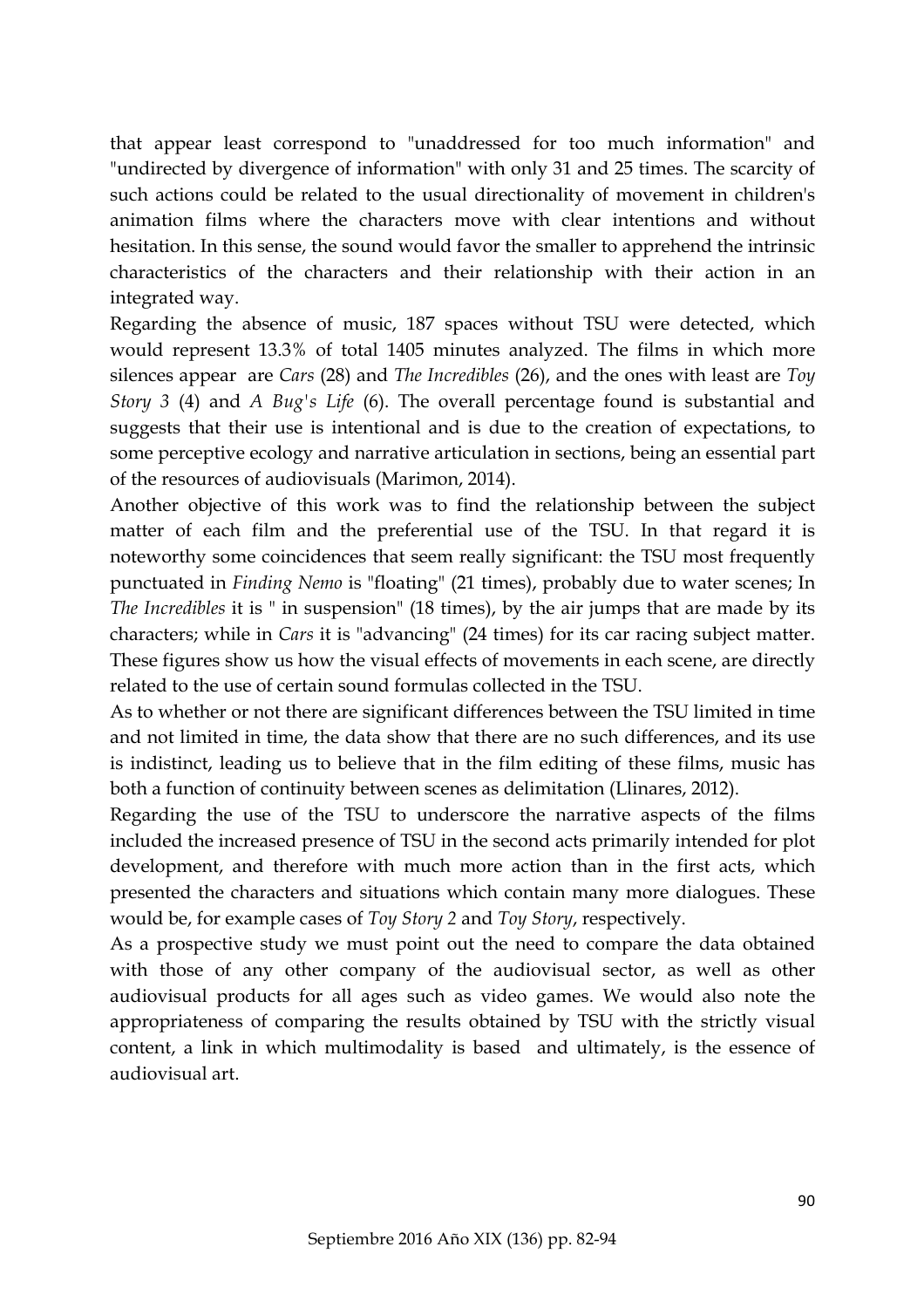that appear least correspond to "unaddressed for too much information" and "undirected by divergence of information" with only 31 and 25 times. The scarcity of such actions could be related to the usual directionality of movement in children's animation films where the characters move with clear intentions and without hesitation. In this sense, the sound would favor the smaller to apprehend the intrinsic characteristics of the characters and their relationship with their action in an integrated way.

Regarding the absence of music, 187 spaces without TSU were detected, which would represent 13.3% of total 1405 minutes analyzed. The films in which more silences appear are *Cars* (28) and *The Incredibles* (26), and the ones with least are *Toy Story 3* (4) and *A Bug's Life* (6). The overall percentage found is substantial and suggests that their use is intentional and is due to the creation of expectations, to some perceptive ecology and narrative articulation in sections, being an essential part of the resources of audiovisuals (Marimon, 2014).

Another objective of this work was to find the relationship between the subject matter of each film and the preferential use of the TSU. In that regard it is noteworthy some coincidences that seem really significant: the TSU most frequently punctuated in *Finding Nemo* is "floating" (21 times), probably due to water scenes; In *The Incredibles* it is " in suspension" (18 times), by the air jumps that are made by its characters; while in *Cars* it is "advancing" (24 times) for its car racing subject matter. These figures show us how the visual effects of movements in each scene, are directly related to the use of certain sound formulas collected in the TSU.

As to whether or not there are significant differences between the TSU limited in time and not limited in time, the data show that there are no such differences, and its use is indistinct, leading us to believe that in the film editing of these films, music has both a function of continuity between scenes as delimitation (Llinares, 2012).

Regarding the use of the TSU to underscore the narrative aspects of the films included the increased presence of TSU in the second acts primarily intended for plot development, and therefore with much more action than in the first acts, which presented the characters and situations which contain many more dialogues. These would be, for example cases of *Toy Story 2* and *Toy Story*, respectively.

As a prospective study we must point out the need to compare the data obtained with those of any other company of the audiovisual sector, as well as other audiovisual products for all ages such as video games. We would also note the appropriateness of comparing the results obtained by TSU with the strictly visual content, a link in which multimodality is based and ultimately, is the essence of audiovisual art.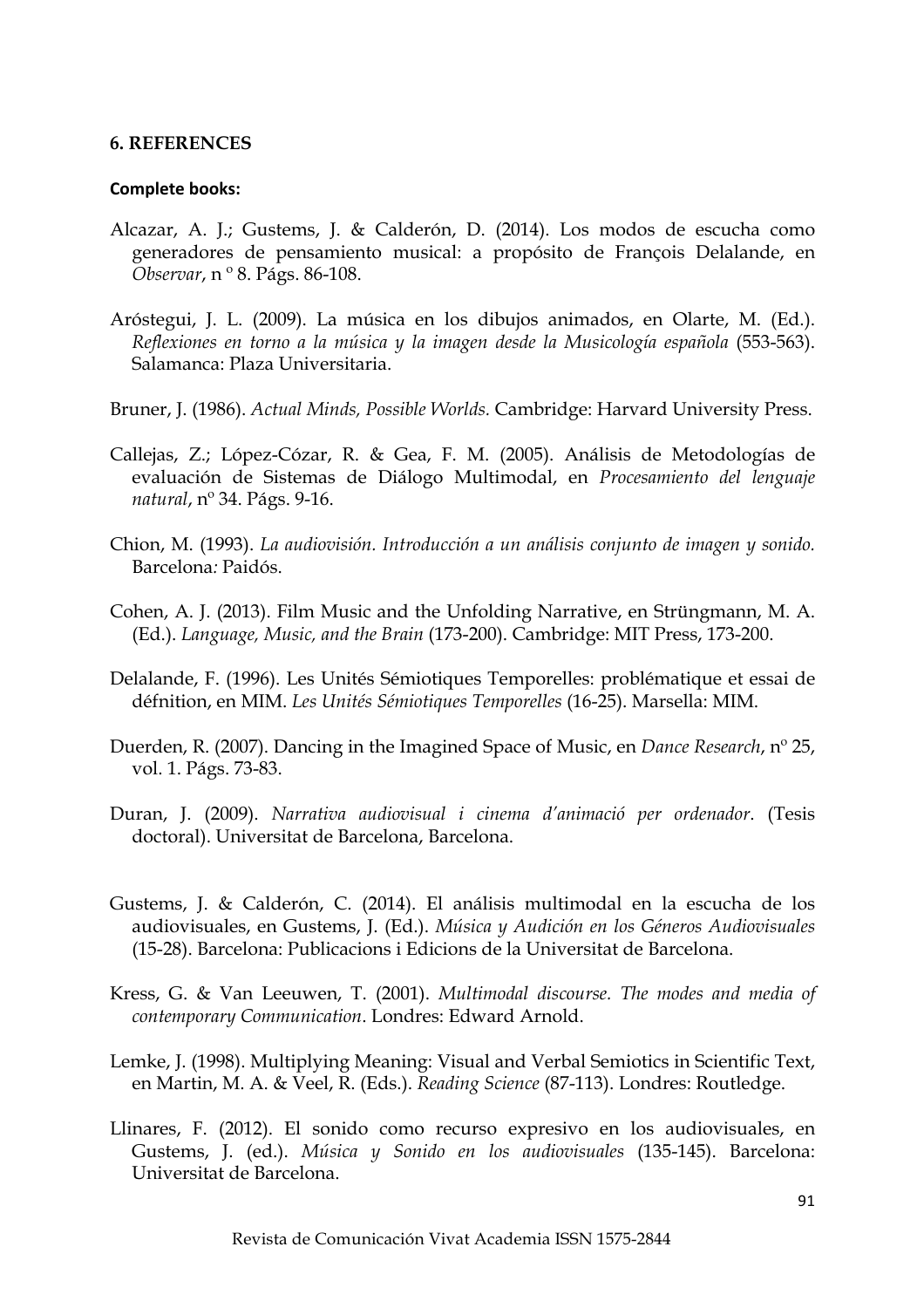#### **6. REFERENCES**

#### **Complete books:**

- Alcazar, A. J.; Gustems, J. & Calderón, D. (2014). Los modos de escucha como generadores de pensamiento musical: a propósito de François Delalande, en *Observar*, n º 8. Págs. 86-108.
- Aróstegui, J. L. (2009). La música en los dibujos animados, en Olarte, M. (Ed.). *Reflexiones en torno a la música y la imagen desde la Musicología española* (553-563). Salamanca: Plaza Universitaria.
- Bruner, J. (1986). *Actual Minds, Possible Worlds.* Cambridge: Harvard University Press.
- Callejas, Z.; López-Cózar, R. & Gea, F. M. (2005). Análisis de Metodologías de evaluación de Sistemas de Diálogo Multimodal, en *Procesamiento del lenguaje natural*, nº 34. Págs. 9-16.
- Chion, M. (1993). *La audiovisión. Introducción a un análisis conjunto de imagen y sonido.*  Barcelona*:* Paidós.
- Cohen, A. J. (2013). Film Music and the Unfolding Narrative, en Strüngmann, M. A. (Ed.). *Language, Music, and the Brain* (173-200). Cambridge: MIT Press, 173-200.
- Delalande, F. (1996). Les Unités Sémiotiques Temporelles: problématique et essai de défnition, en MIM. *Les Unités Sémiotiques Temporelles* (16-25). Marsella: MIM.
- Duerden, R. (2007). Dancing in the Imagined Space of Music, en *Dance Research*, nº 25, vol. 1. Págs. 73-83.
- Duran, J. (2009). *Narrativa audiovisual i cinema d'animació per ordenador*. (Tesis doctoral). Universitat de Barcelona, Barcelona.
- Gustems, J. & Calderón, C. (2014). El análisis multimodal en la escucha de los audiovisuales, en Gustems, J. (Ed.). *Música y Audición en los Géneros Audiovisuales* (15-28). Barcelona: Publicacions i Edicions de la Universitat de Barcelona.
- Kress, G. & Van Leeuwen, T. (2001). *Multimodal discourse. The modes and media of contemporary Communication*. Londres: Edward Arnold.
- Lemke, J. (1998). Multiplying Meaning: Visual and Verbal Semiotics in Scientific Text, en Martin, M. A. & Veel, R. (Eds.). *Reading Science* (87-113). Londres: Routledge.
- Llinares, F. (2012). El sonido como recurso expresivo en los audiovisuales, en Gustems, J. (ed.). *Música y Sonido en los audiovisuales* (135-145). Barcelona: Universitat de Barcelona.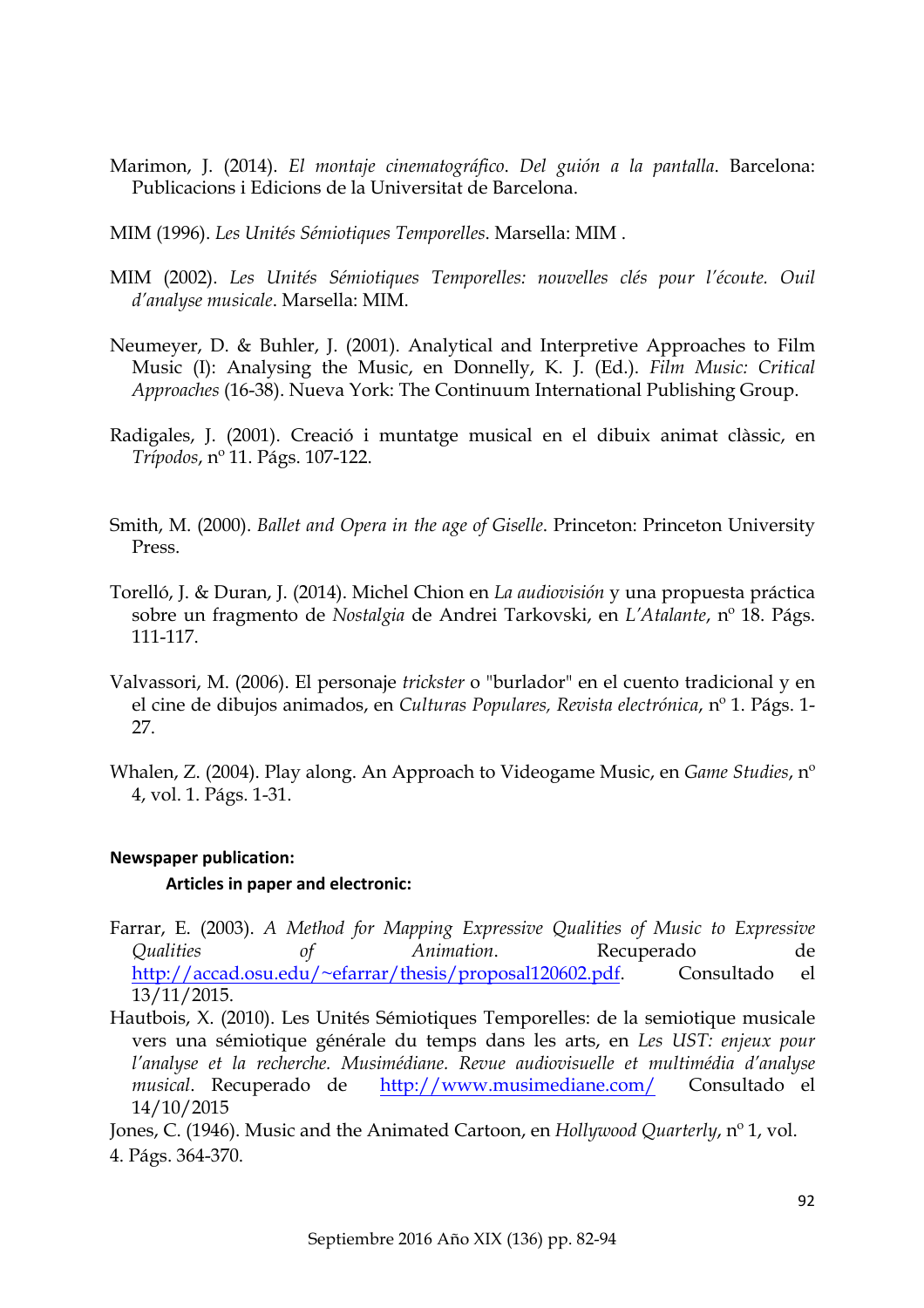- Marimon, J. (2014). *El montaje cinematográfico*. *Del guión a la pantalla*. Barcelona: Publicacions i Edicions de la Universitat de Barcelona.
- MIM (1996). *Les Unités Sémiotiques Temporelles*. Marsella: MIM .
- MIM (2002). *Les Unités Sémiotiques Temporelles: nouvelles clés pour l'écoute. Ouil d'analyse musicale*. Marsella: MIM.
- Neumeyer, D. & Buhler, J. (2001). Analytical and Interpretive Approaches to Film Music (I): Analysing the Music, en Donnelly, K. J. (Ed.). *Film Music: Critical Approaches* (16-38). Nueva York: The Continuum International Publishing Group.
- Radigales, J. (2001). Creació i muntatge musical en el dibuix animat clàssic, en *Trípodos*, nº 11. Págs. 107-122.
- Smith, M. (2000). *Ballet and Opera in the age of Giselle*. Princeton: Princeton University Press.
- Torelló, J. & Duran, J. (2014). Michel Chion en *La audiovisión* y una propuesta práctica sobre un fragmento de *Nostalgia* de Andrei Tarkovski, en *L'Atalante*, nº 18. Págs. 111-117.
- Valvassori, M. (2006). El personaje *trickster* o "burlador" en el cuento tradicional y en el cine de dibujos animados, en *Culturas Populares, Revista electrónica*, nº 1. Págs. 1- 27.
- Whalen, Z. (2004). Play along. An Approach to Videogame Music, en *Game Studies*, nº 4, vol. 1. Págs. 1-31.

# **Newspaper publication:**

### **Articles in paper and electronic:**

- Farrar, E. (2003). *A Method for Mapping Expressive Qualities of Music to Expressive Qualities of Animation*. Recuperado de http://accad.osu.edu/~efarrar/thesis/proposal120602.pdf. Consultado el 13/11/2015.
- Hautbois, X. (2010). Les Unités Sémiotiques Temporelles: de la semiotique musicale vers una sémiotique générale du temps dans les arts, en *Les UST: enjeux pour l'analyse et la recherche. Musimédiane. Revue audiovisuelle et multimédia d'analyse musical*. Recuperado de http://www.musimediane.com/ Consultado el 14/10/2015

Jones, C. (1946). Music and the Animated Cartoon, en *Hollywood Quarterly*, nº 1, vol. 4. Págs. 364-370.